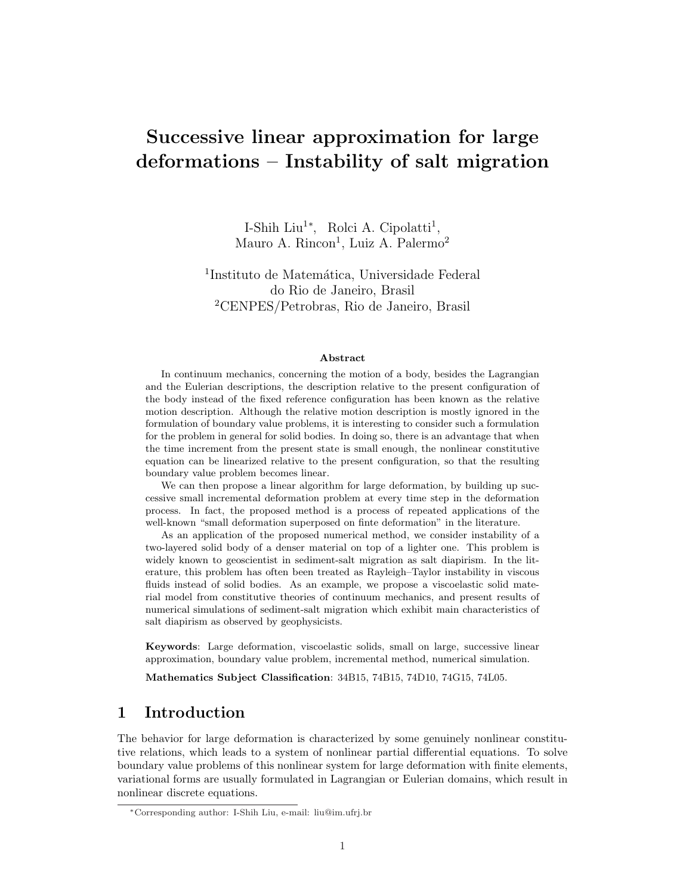# Successive linear approximation for large deformations – Instability of salt migration

I-Shih Liu<sup>1</sup><sup>\*</sup>, Rolci A. Cipolatti<sup>1</sup>, Mauro A. Rincon<sup>1</sup>, Luiz A. Palermo<sup>2</sup>

<sup>1</sup>Instituto de Matemática, Universidade Federal do Rio de Janeiro, Brasil <sup>2</sup>CENPES/Petrobras, Rio de Janeiro, Brasil

#### Abstract

In continuum mechanics, concerning the motion of a body, besides the Lagrangian and the Eulerian descriptions, the description relative to the present configuration of the body instead of the fixed reference configuration has been known as the relative motion description. Although the relative motion description is mostly ignored in the formulation of boundary value problems, it is interesting to consider such a formulation for the problem in general for solid bodies. In doing so, there is an advantage that when the time increment from the present state is small enough, the nonlinear constitutive equation can be linearized relative to the present configuration, so that the resulting boundary value problem becomes linear.

We can then propose a linear algorithm for large deformation, by building up successive small incremental deformation problem at every time step in the deformation process. In fact, the proposed method is a process of repeated applications of the well-known "small deformation superposed on finte deformation" in the literature.

As an application of the proposed numerical method, we consider instability of a two-layered solid body of a denser material on top of a lighter one. This problem is widely known to geoscientist in sediment-salt migration as salt diapirism. In the literature, this problem has often been treated as Rayleigh–Taylor instability in viscous fluids instead of solid bodies. As an example, we propose a viscoelastic solid material model from constitutive theories of continuum mechanics, and present results of numerical simulations of sediment-salt migration which exhibit main characteristics of salt diapirism as observed by geophysicists.

Keywords: Large deformation, viscoelastic solids, small on large, successive linear approximation, boundary value problem, incremental method, numerical simulation.

Mathematics Subject Classification: 34B15, 74B15, 74D10, 74G15, 74L05.

# 1 Introduction

The behavior for large deformation is characterized by some genuinely nonlinear constitutive relations, which leads to a system of nonlinear partial differential equations. To solve boundary value problems of this nonlinear system for large deformation with finite elements, variational forms are usually formulated in Lagrangian or Eulerian domains, which result in nonlinear discrete equations.

<sup>∗</sup>Corresponding author: I-Shih Liu, e-mail: liu@im.ufrj.br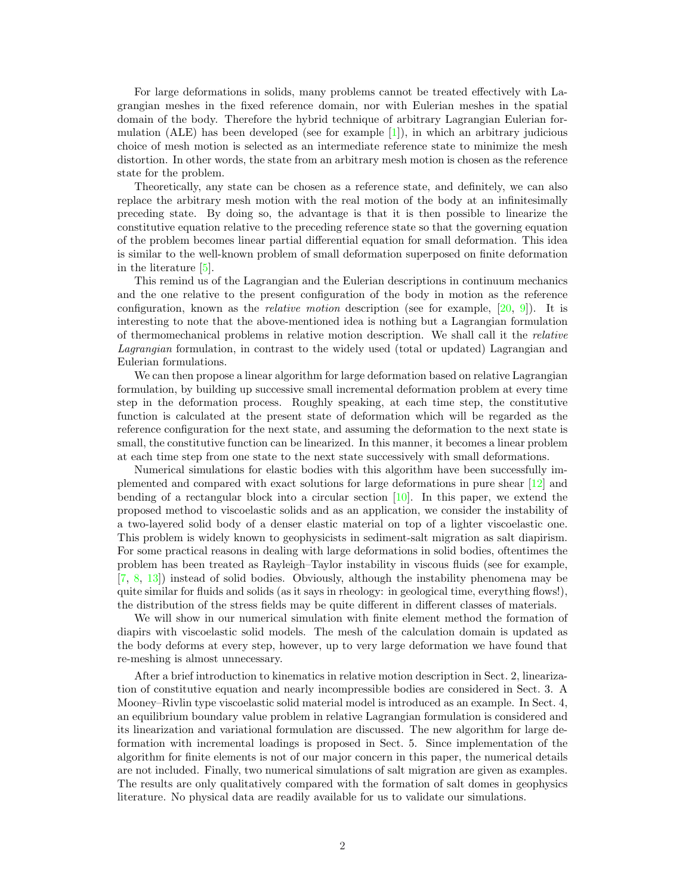For large deformations in solids, many problems cannot be treated effectively with Lagrangian meshes in the fixed reference domain, nor with Eulerian meshes in the spatial domain of the body. Therefore the hybrid technique of arbitrary Lagrangian Eulerian formulation (ALE) has been developed (see for example  $[1]$ ), in which an arbitrary judicious choice of mesh motion is selected as an intermediate reference state to minimize the mesh distortion. In other words, the state from an arbitrary mesh motion is chosen as the reference state for the problem.

Theoretically, any state can be chosen as a reference state, and definitely, we can also replace the arbitrary mesh motion with the real motion of the body at an infinitesimally preceding state. By doing so, the advantage is that it is then possible to linearize the constitutive equation relative to the preceding reference state so that the governing equation of the problem becomes linear partial differential equation for small deformation. This idea is similar to the well-known problem of small deformation superposed on finite deformation in the literature [5].

This remind us of the Lagrangian and the Eulerian descriptions in continuum mechanics and the one relative to the present configuration of the body in motion as the reference configuration, known as the *relative motion* description (see for example, [20, 9]). It is interesting to note that the above-mentioned idea is nothing but a Lagrangian formulation of thermomechanical problems in relative motion description. We shall call it the relative Lagrangian formulation, in contrast to the widely used (total or updated) Lagrangian and Eulerian formulations.

We can then propose a linear algorithm for large deformation based on relative Lagrangian formulation, by building up successive small incremental deformation problem at every time step in the deformation process. Roughly speaking, at each time step, the constitutive function is calculated at the present state of deformation which will be regarded as the reference configuration for the next state, and assuming the deformation to the next state is small, the constitutive function can be linearized. In this manner, it becomes a linear problem at each time step from one state to the next state successively with small deformations.

Numerical simulations for elastic bodies with this algorithm have been successfully implemented and compared with exact solutions for large deformations in pure shear [12] and bending of a rectangular block into a circular section [10]. In this paper, we extend the proposed method to viscoelastic solids and as an application, we consider the instability of a two-layered solid body of a denser elastic material on top of a lighter viscoelastic one. This problem is widely known to geophysicists in sediment-salt migration as salt diapirism. For some practical reasons in dealing with large deformations in solid bodies, oftentimes the problem has been treated as Rayleigh–Taylor instability in viscous fluids (see for example, [7, 8, 13]) instead of solid bodies. Obviously, although the instability phenomena may be quite similar for fluids and solids (as it says in rheology: in geological time, everything flows!), the distribution of the stress fields may be quite different in different classes of materials.

We will show in our numerical simulation with finite element method the formation of diapirs with viscoelastic solid models. The mesh of the calculation domain is updated as the body deforms at every step, however, up to very large deformation we have found that re-meshing is almost unnecessary.

After a brief introduction to kinematics in relative motion description in Sect. 2, linearization of constitutive equation and nearly incompressible bodies are considered in Sect. 3. A Mooney–Rivlin type viscoelastic solid material model is introduced as an example. In Sect. 4, an equilibrium boundary value problem in relative Lagrangian formulation is considered and its linearization and variational formulation are discussed. The new algorithm for large deformation with incremental loadings is proposed in Sect. 5. Since implementation of the algorithm for finite elements is not of our major concern in this paper, the numerical details are not included. Finally, two numerical simulations of salt migration are given as examples. The results are only qualitatively compared with the formation of salt domes in geophysics literature. No physical data are readily available for us to validate our simulations.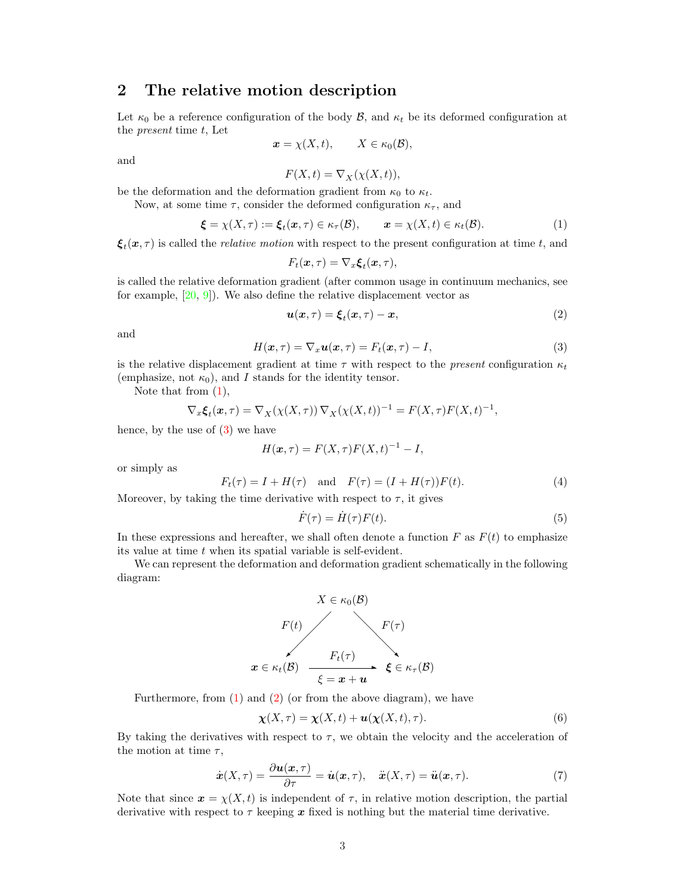### 2 The relative motion description

Let  $\kappa_0$  be a reference configuration of the body  $\mathcal{B}$ , and  $\kappa_t$  be its deformed configuration at the present time t, Let

$$
\boldsymbol{x} = \chi(X, t), \qquad X \in \kappa_0(\mathcal{B}),
$$

and

$$
F(X,t)=\nabla_X(\chi(X,t)),
$$

be the deformation and the deformation gradient from  $\kappa_0$  to  $\kappa_t$ .

Now, at some time  $\tau$ , consider the deformed configuration  $\kappa_{\tau}$ , and

$$
\boldsymbol{\xi} = \chi(X,\tau) := \boldsymbol{\xi}_t(\boldsymbol{x},\tau) \in \kappa_\tau(\mathcal{B}), \qquad \boldsymbol{x} = \chi(X,t) \in \kappa_t(\mathcal{B}). \tag{1}
$$

 $\xi_t(x,\tau)$  is called the *relative motion* with respect to the present configuration at time t, and

$$
F_t(\boldsymbol{x},\tau) = \nabla_x \boldsymbol{\xi}_t(\boldsymbol{x},\tau),
$$

is called the relative deformation gradient (after common usage in continuum mechanics, see for example,  $[20, 9]$ . We also define the relative displacement vector as

$$
\mathbf{u}(\mathbf{x},\tau) = \boldsymbol{\xi}_t(\mathbf{x},\tau) - \mathbf{x},\tag{2}
$$

and

$$
H(\boldsymbol{x},\tau) = \nabla_x \boldsymbol{u}(\boldsymbol{x},\tau) = F_t(\boldsymbol{x},\tau) - I,\tag{3}
$$

is the relative displacement gradient at time  $\tau$  with respect to the *present* configuration  $\kappa_t$ (emphasize, not  $\kappa_0$ ), and I stands for the identity tensor.

Note that from  $(1)$ ,

$$
\nabla_x \xi_t(\boldsymbol{x}, \tau) = \nabla_X(\chi(X, \tau)) \nabla_X(\chi(X, t))^{-1} = F(X, \tau) F(X, t)^{-1},
$$

hence, by the use of (3) we have

$$
H(\boldsymbol{x},\tau) = F(X,\tau)F(X,t)^{-1} - I,
$$

or simply as

$$
F_t(\tau) = I + H(\tau) \quad \text{and} \quad F(\tau) = (I + H(\tau))F(t). \tag{4}
$$

Moreover, by taking the time derivative with respect to  $\tau$ , it gives

$$
\dot{F}(\tau) = \dot{H}(\tau)F(t). \tag{5}
$$

In these expressions and hereafter, we shall often denote a function  $F$  as  $F(t)$  to emphasize its value at time t when its spatial variable is self-evident.

We can represent the deformation and deformation gradient schematically in the following diagram:



Furthermore, from  $(1)$  and  $(2)$  (or from the above diagram), we have

$$
\chi(X,\tau) = \chi(X,t) + \boldsymbol{u}(\chi(X,t),\tau). \tag{6}
$$

By taking the derivatives with respect to  $\tau$ , we obtain the velocity and the acceleration of the motion at time  $\tau$ ,

$$
\dot{\boldsymbol{x}}(X,\tau) = \frac{\partial \boldsymbol{u}(\boldsymbol{x},\tau)}{\partial \tau} = \dot{\boldsymbol{u}}(\boldsymbol{x},\tau), \quad \ddot{\boldsymbol{x}}(X,\tau) = \ddot{\boldsymbol{u}}(\boldsymbol{x},\tau). \tag{7}
$$

Note that since  $x = \chi(X, t)$  is independent of  $\tau$ , in relative motion description, the partial derivative with respect to  $\tau$  keeping x fixed is nothing but the material time derivative.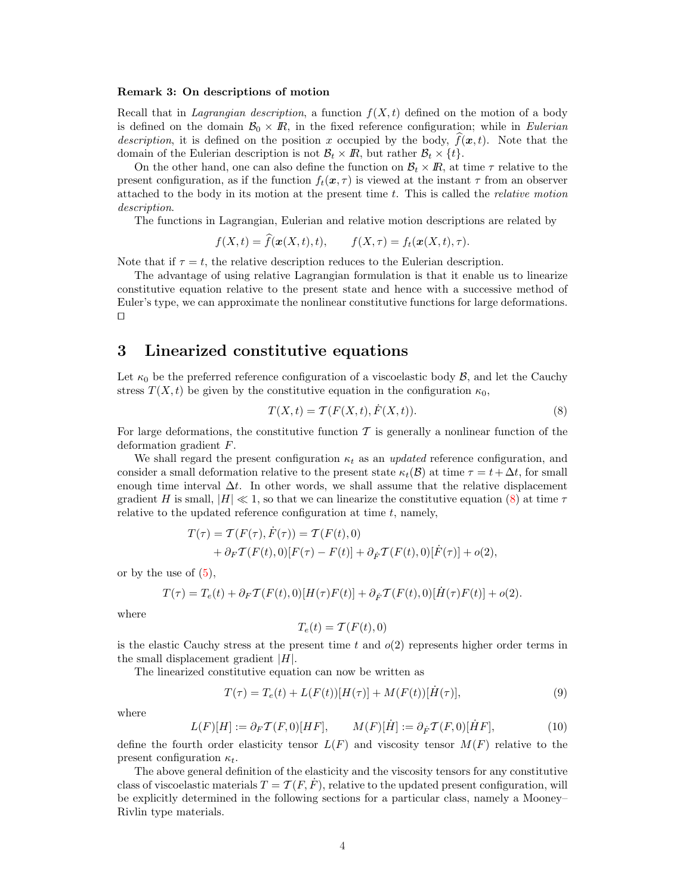#### Remark 3: On descriptions of motion

Recall that in Lagrangian description, a function  $f(X, t)$  defined on the motion of a body is defined on the domain  $\mathcal{B}_0 \times \mathbb{R}$ , in the fixed reference configuration; while in Eulerian description, it is defined on the position x occupied by the body,  $f(\mathbf{x}, t)$ . Note that the domain of the Eulerian description is not  $\mathcal{B}_t \times \mathbb{R}$ , but rather  $\mathcal{B}_t \times \{t\}$ .

On the other hand, one can also define the function on  $\mathcal{B}_t \times \mathbb{R}$ , at time  $\tau$  relative to the present configuration, as if the function  $f_t(\mathbf{x}, \tau)$  is viewed at the instant  $\tau$  from an observer attached to the body in its motion at the present time  $t$ . This is called the *relative motion* description.

The functions in Lagrangian, Eulerian and relative motion descriptions are related by

$$
f(X,t) = \widehat{f}(\mathbf{x}(X,t),t), \qquad f(X,\tau) = f_t(\mathbf{x}(X,t),\tau).
$$

Note that if  $\tau = t$ , the relative description reduces to the Eulerian description.

The advantage of using relative Lagrangian formulation is that it enable us to linearize constitutive equation relative to the present state and hence with a successive method of Euler's type, we can approximate the nonlinear constitutive functions for large deformations.  $\Box$ 

### 3 Linearized constitutive equations

Let  $\kappa_0$  be the preferred reference configuration of a viscoelastic body  $\mathcal{B}$ , and let the Cauchy stress  $T(X, t)$  be given by the constitutive equation in the configuration  $\kappa_0$ ,

$$
T(X,t) = \mathcal{T}(F(X,t), \dot{F}(X,t)).
$$
\n(8)

For large deformations, the constitutive function T is generally a nonlinear function of the deformation gradient F.

We shall regard the present configuration  $\kappa_t$  as an updated reference configuration, and consider a small deformation relative to the present state  $\kappa_t(\mathcal{B})$  at time  $\tau = t + \Delta t$ , for small enough time interval  $\Delta t$ . In other words, we shall assume that the relative displacement gradient H is small,  $|H| \ll 1$ , so that we can linearize the constitutive equation (8) at time  $\tau$ relative to the updated reference configuration at time  $t$ , namely,

$$
T(\tau) = \mathcal{T}(F(\tau), \dot{F}(\tau)) = \mathcal{T}(F(t), 0)
$$
  
+  $\partial_F \mathcal{T}(F(t), 0)[F(\tau) - F(t)] + \partial_{\dot{F}} \mathcal{T}(F(t), 0)[\dot{F}(\tau)] + o(2),$ 

or by the use of  $(5)$ ,

$$
T(\tau)=T_e(t)+\partial_F \mathcal{T}(F(t),0)[H(\tau)F(t)]+\partial_{\dot{F}} \mathcal{T}(F(t),0)[\dot{H}(\tau)F(t)]+o(2).
$$

where

$$
T_e(t) = \mathcal{T}(F(t), 0)
$$

is the elastic Cauchy stress at the present time t and  $o(2)$  represents higher order terms in the small displacement gradient  $|H|$ .

The linearized constitutive equation can now be written as

$$
T(\tau) = T_e(t) + L(F(t))[H(\tau)] + M(F(t))[H(\tau)],
$$
\n(9)

where

$$
L(F)[H] := \partial_F \mathcal{T}(F,0)[HF], \qquad M(F)[\dot{H}] := \partial_{\dot{F}} \mathcal{T}(F,0)[\dot{H}F], \tag{10}
$$

define the fourth order elasticity tensor  $L(F)$  and viscosity tensor  $M(F)$  relative to the present configuration  $\kappa_t$ .

The above general definition of the elasticity and the viscosity tensors for any constitutive class of viscoelastic materials  $T = \mathcal{T}(F, F)$ , relative to the updated present configuration, will be explicitly determined in the following sections for a particular class, namely a Mooney– Rivlin type materials.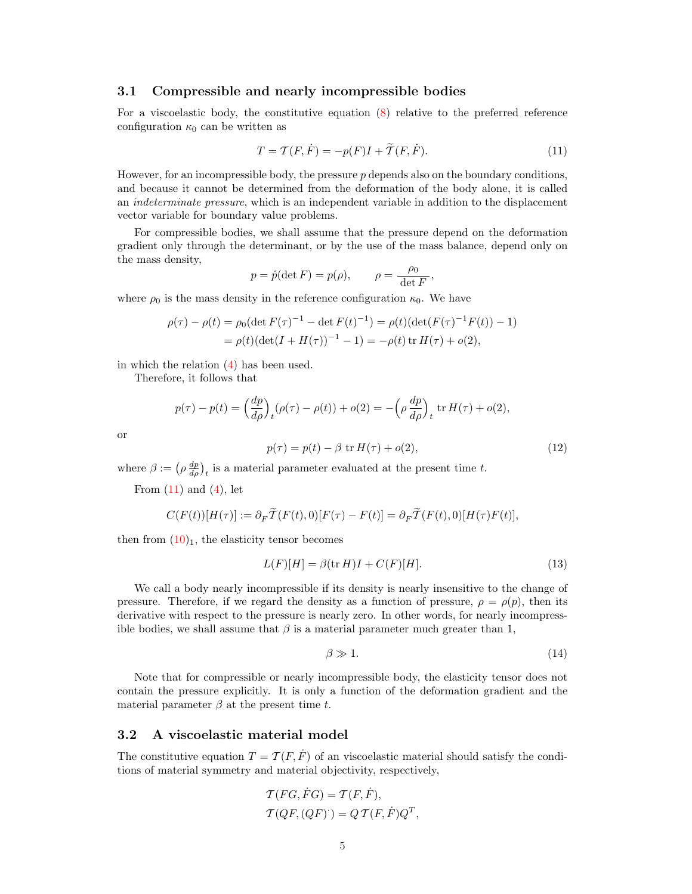#### 3.1 Compressible and nearly incompressible bodies

For a viscoelastic body, the constitutive equation (8) relative to the preferred reference configuration  $\kappa_0$  can be written as

$$
T = \mathcal{T}(F, \dot{F}) = -p(F)I + \widetilde{\mathcal{T}}(F, \dot{F}).\tag{11}
$$

However, for an incompressible body, the pressure  $p$  depends also on the boundary conditions, and because it cannot be determined from the deformation of the body alone, it is called an indeterminate pressure, which is an independent variable in addition to the displacement vector variable for boundary value problems.

For compressible bodies, we shall assume that the pressure depend on the deformation gradient only through the determinant, or by the use of the mass balance, depend only on the mass density,

$$
p = \hat{p}(\det F) = p(\rho), \qquad \rho = \frac{\rho_0}{\det F},
$$

where  $\rho_0$  is the mass density in the reference configuration  $\kappa_0$ . We have

$$
\rho(\tau) - \rho(t) = \rho_0 (\det F(\tau)^{-1} - \det F(t)^{-1}) = \rho(t) (\det (F(\tau)^{-1}F(t)) - 1)
$$
  
= 
$$
\rho(t) (\det (I + H(\tau))^{-1} - 1) = -\rho(t) \operatorname{tr} H(\tau) + o(2),
$$

in which the relation (4) has been used.

Therefore, it follows that

$$
p(\tau) - p(t) = \left(\frac{dp}{d\rho}\right)_t (\rho(\tau) - \rho(t)) + o(2) = -\left(\rho \frac{dp}{d\rho}\right)_t \text{ tr } H(\tau) + o(2),
$$

or

$$
p(\tau) = p(t) - \beta \operatorname{tr} H(\tau) + o(2),\tag{12}
$$

where  $\beta := (\rho \frac{dp}{d\rho})_t$  is a material parameter evaluated at the present time t.

From  $(11)$  and  $(4)$ , let

$$
C(F(t))[H(\tau)] := \partial_F \widetilde{T}(F(t),0)[F(\tau) - F(t)] = \partial_F \widetilde{T}(F(t),0)[H(\tau)F(t)],
$$

then from  $(10)_1$ , the elasticity tensor becomes

$$
L(F)[H] = \beta(\text{tr } H)I + C(F)[H].\tag{13}
$$

We call a body nearly incompressible if its density is nearly insensitive to the change of pressure. Therefore, if we regard the density as a function of pressure,  $\rho = \rho(p)$ , then its derivative with respect to the pressure is nearly zero. In other words, for nearly incompressible bodies, we shall assume that  $\beta$  is a material parameter much greater than 1,

$$
\beta \gg 1. \tag{14}
$$

Note that for compressible or nearly incompressible body, the elasticity tensor does not contain the pressure explicitly. It is only a function of the deformation gradient and the material parameter  $\beta$  at the present time t.

### 3.2 A viscoelastic material model

The constitutive equation  $T = \mathcal{T}(F, \dot{F})$  of an viscoelastic material should satisfy the conditions of material symmetry and material objectivity, respectively,

$$
\mathcal{T}(FG, \dot{F}G) = \mathcal{T}(F, \dot{F}),
$$
  

$$
\mathcal{T}(QF, (QF)) = Q \mathcal{T}(F, \dot{F})Q^T,
$$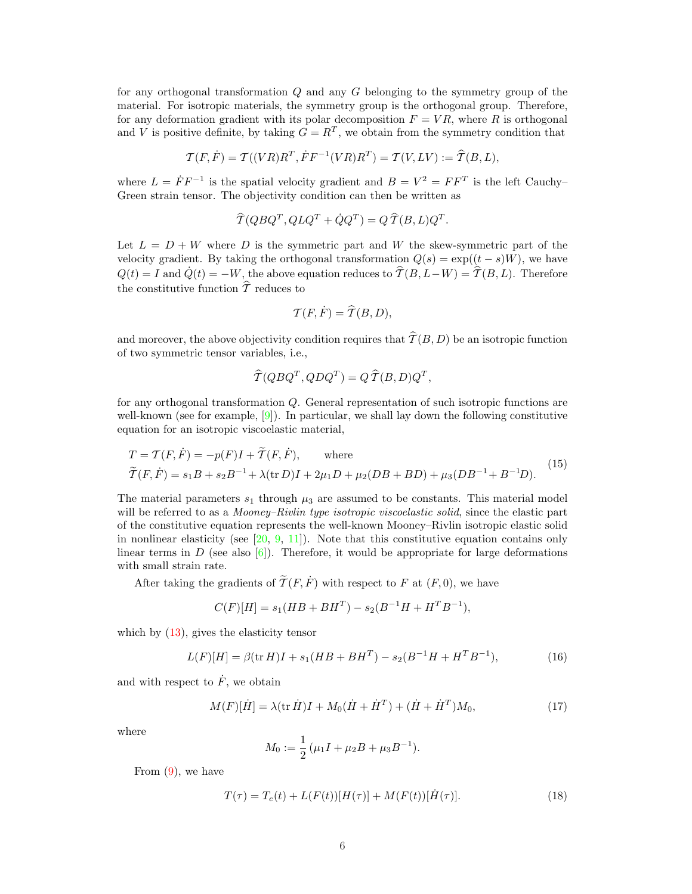for any orthogonal transformation  $Q$  and any  $G$  belonging to the symmetry group of the material. For isotropic materials, the symmetry group is the orthogonal group. Therefore, for any deformation gradient with its polar decomposition  $F = VR$ , where R is orthogonal and V is positive definite, by taking  $G = R^T$ , we obtain from the symmetry condition that

$$
\mathcal{T}(F,\dot{F})=\mathcal{T}((VR)R^T,\dot{F}F^{-1}(VR)R^T)=\mathcal{T}(V, LV):=\widehat{\mathcal{T}}(B,L),
$$

where  $L = \dot{F} F^{-1}$  is the spatial velocity gradient and  $B = V^2 = F F^T$  is the left Cauchy-Green strain tensor. The objectivity condition can then be written as

$$
\widehat{T}(Q B Q^T, Q L Q^T + \dot{Q} Q^T) = Q \,\widehat{T}(B, L) Q^T.
$$

Let  $L = D + W$  where D is the symmetric part and W the skew-symmetric part of the velocity gradient. By taking the orthogonal transformation  $Q(s) = \exp((t - s)W)$ , we have  $Q(t) = I$  and  $\dot{Q}(t) = -W$ , the above equation reduces to  $\hat{\mathcal{T}}(B, L-W) = \hat{\mathcal{T}}(B, L)$ . Therefore the constitutive function  $\hat{\tau}$  reduces to

$$
\mathcal{T}(F,\dot{F}) = \hat{\mathcal{T}}(B,D),
$$

and moreover, the above objectivity condition requires that  $\widehat{T}(B, D)$  be an isotropic function of two symmetric tensor variables, i.e.,

$$
\widehat{T}(Q B Q^T, Q D Q^T) = Q \,\widehat{T}(B, D) Q^T,
$$

for any orthogonal transformation Q. General representation of such isotropic functions are well-known (see for example,  $[9]$ ). In particular, we shall lay down the following constitutive equation for an isotropic viscoelastic material,

$$
T = T(F, \dot{F}) = -p(F)I + \tilde{T}(F, \dot{F}), \quad \text{where}
$$
  

$$
\tilde{T}(F, \dot{F}) = s_1B + s_2B^{-1} + \lambda(\text{tr } D)I + 2\mu_1D + \mu_2(DB + BD) + \mu_3(DB^{-1} + B^{-1}D).
$$
 (15)

The material parameters  $s_1$  through  $\mu_3$  are assumed to be constants. This material model will be referred to as a *Mooney–Rivlin type isotropic viscoelastic solid*, since the elastic part of the constitutive equation represents the well-known Mooney–Rivlin isotropic elastic solid in nonlinear elasticity (see  $[20, 9, 11]$ ). Note that this constitutive equation contains only linear terms in  $D$  (see also  $[6]$ ). Therefore, it would be appropriate for large deformations with small strain rate.

After taking the gradients of  $\widetilde{\mathcal{T}}(F, \dot{F})$  with respect to F at  $(F, 0)$ , we have

$$
C(F)[H] = s_1(HB + BH^T) - s_2(B^{-1}H + H^T B^{-1}),
$$

which by  $(13)$ , gives the elasticity tensor

$$
L(F)[H] = \beta(\text{tr } H)I + s_1(HB + BH^T) - s_2(B^{-1}H + H^T B^{-1}),\tag{16}
$$

and with respect to  $\dot{F}$ , we obtain

$$
M(F)[\dot{H}] = \lambda(\text{tr}\,\dot{H})I + M_0(\dot{H} + \dot{H}^T) + (\dot{H} + \dot{H}^T)M_0,\tag{17}
$$

where

$$
M_0 := \frac{1}{2} \left( \mu_1 I + \mu_2 B + \mu_3 B^{-1} \right).
$$

From (9), we have

$$
T(\tau) = T_e(t) + L(F(t))[H(\tau)] + M(F(t))[H(\tau)].
$$
\n(18)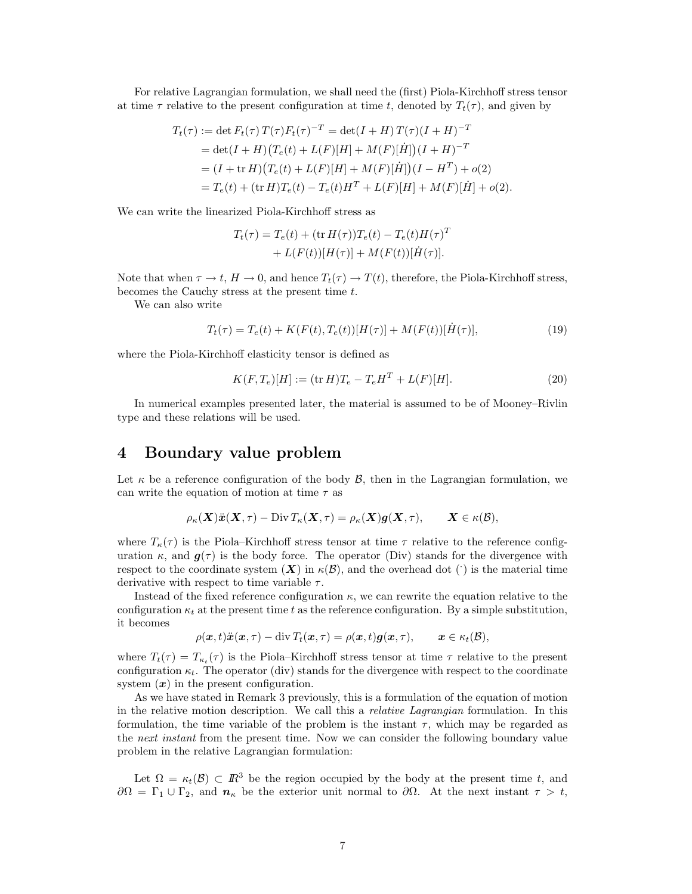For relative Lagrangian formulation, we shall need the (first) Piola-Kirchhoff stress tensor at time  $\tau$  relative to the present configuration at time t, denoted by  $T_t(\tau)$ , and given by

$$
T_t(\tau) := \det F_t(\tau) T(\tau) F_t(\tau)^{-T} = \det(I + H) T(\tau) (I + H)^{-T}
$$
  
= 
$$
\det(I + H) (T_e(t) + L(F)[H] + M(F)[\dot{H}]) (I + H)^{-T}
$$
  
= 
$$
(I + \operatorname{tr} H) (T_e(t) + L(F)[H] + M(F)[\dot{H}]) (I - H^T) + o(2)
$$
  
= 
$$
T_e(t) + (\operatorname{tr} H) T_e(t) - T_e(t) H^T + L(F)[H] + M(F)[\dot{H}] + o(2).
$$

We can write the linearized Piola-Kirchhoff stress as

$$
T_t(\tau) = T_e(t) + (\text{tr } H(\tau))T_e(t) - T_e(t)H(\tau)^T
$$
  
+ 
$$
L(F(t))[H(\tau)] + M(F(t))[H(\tau)].
$$

Note that when  $\tau \to t$ ,  $H \to 0$ , and hence  $T_t(\tau) \to T(t)$ , therefore, the Piola-Kirchhoff stress, becomes the Cauchy stress at the present time t.

We can also write

$$
T_t(\tau) = T_e(t) + K(F(t), T_e(t))[H(\tau)] + M(F(t))[H(\tau)],
$$
\n(19)

where the Piola-Kirchhoff elasticity tensor is defined as

$$
K(F, T_e)[H] := (\text{tr } H)T_e - T_e H^T + L(F)[H].
$$
\n(20)

In numerical examples presented later, the material is assumed to be of Mooney–Rivlin type and these relations will be used.

# 4 Boundary value problem

Let  $\kappa$  be a reference configuration of the body  $\mathcal{B}$ , then in the Lagrangian formulation, we can write the equation of motion at time  $\tau$  as

$$
\rho_{\kappa}(\mathbf{X})\ddot{\mathbf{x}}(\mathbf{X},\tau)-\text{Div}\, T_{\kappa}(\mathbf{X},\tau)=\rho_{\kappa}(\mathbf{X})\mathbf{g}(\mathbf{X},\tau),\qquad \mathbf{X}\in\kappa(\mathcal{B}),
$$

where  $T_{\kappa}(\tau)$  is the Piola–Kirchhoff stress tensor at time  $\tau$  relative to the reference configuration  $\kappa$ , and  $g(\tau)$  is the body force. The operator (Div) stands for the divergence with respect to the coordinate system  $(X)$  in  $\kappa(\mathcal{B})$ , and the overhead dot () is the material time derivative with respect to time variable  $\tau$ .

Instead of the fixed reference configuration  $\kappa$ , we can rewrite the equation relative to the configuration  $\kappa_t$  at the present time t as the reference configuration. By a simple substitution, it becomes

$$
\rho(\boldsymbol{x},t)\ddot{\boldsymbol{x}}(\boldsymbol{x},\tau)-\operatorname{div} T_t(\boldsymbol{x},\tau)=\rho(\boldsymbol{x},t)\boldsymbol{g}(\boldsymbol{x},\tau),\qquad \boldsymbol{x}\in\kappa_t(\mathcal{B}),
$$

where  $T_t(\tau) = T_{\kappa_t}(\tau)$  is the Piola–Kirchhoff stress tensor at time  $\tau$  relative to the present configuration  $\kappa_t$ . The operator (div) stands for the divergence with respect to the coordinate system  $(x)$  in the present configuration.

As we have stated in Remark 3 previously, this is a formulation of the equation of motion in the relative motion description. We call this a relative Lagrangian formulation. In this formulation, the time variable of the problem is the instant  $\tau$ , which may be regarded as the *next instant* from the present time. Now we can consider the following boundary value problem in the relative Lagrangian formulation:

Let  $\Omega = \kappa_t(\mathcal{B}) \subset \mathbb{R}^3$  be the region occupied by the body at the present time t, and  $\partial\Omega = \Gamma_1 \cup \Gamma_2$ , and  $n_{\kappa}$  be the exterior unit normal to  $\partial\Omega$ . At the next instant  $\tau > t$ ,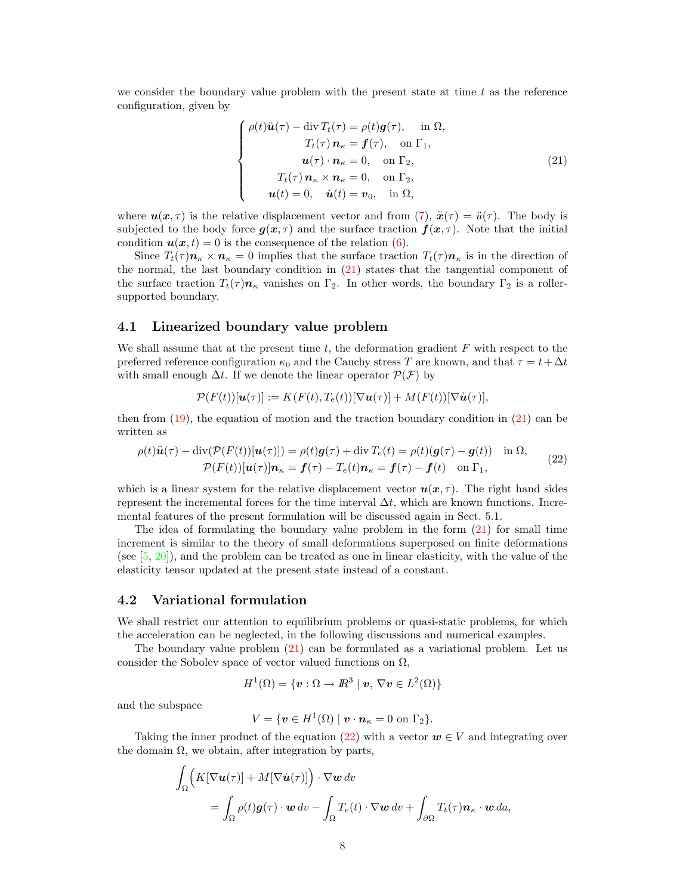we consider the boundary value problem with the present state at time  $t$  as the reference configuration, given by

$$
\begin{cases}\n\rho(t)\ddot{\boldsymbol{u}}(\tau) - \operatorname{div} T_t(\tau) = \rho(t)\boldsymbol{g}(\tau), & \text{in } \Omega, \\
T_t(\tau) \, \boldsymbol{n}_{\kappa} = \boldsymbol{f}(\tau), & \text{on } \Gamma_1, \\
\boldsymbol{u}(\tau) \cdot \boldsymbol{n}_{\kappa} = 0, & \text{on } \Gamma_2, \\
T_t(\tau) \, \boldsymbol{n}_{\kappa} \times \boldsymbol{n}_{\kappa} = 0, & \text{on } \Gamma_2, \\
\boldsymbol{u}(t) = 0, & \dot{\boldsymbol{u}}(t) = \boldsymbol{v}_0, & \text{in } \Omega,\n\end{cases}
$$
\n(21)

where  $u(x, \tau)$  is the relative displacement vector and from (7),  $\ddot{x}(\tau) = \ddot{u}(\tau)$ . The body is subjected to the body force  $g(x, \tau)$  and the surface traction  $f(x, \tau)$ . Note that the initial condition  $u(x, t) = 0$  is the consequence of the relation (6).

Since  $T_t(\tau)$  $n_{\kappa} \times n_{\kappa} = 0$  implies that the surface traction  $T_t(\tau)n_{\kappa}$  is in the direction of the normal, the last boundary condition in (21) states that the tangential component of the surface traction  $T_t(\tau)$  $n_{\kappa}$  vanishes on  $\Gamma_2$ . In other words, the boundary  $\Gamma_2$  is a rollersupported boundary.

### 4.1 Linearized boundary value problem

We shall assume that at the present time  $t$ , the deformation gradient  $F$  with respect to the preferred reference configuration  $\kappa_0$  and the Cauchy stress T are known, and that  $\tau = t + \Delta t$ with small enough  $\Delta t$ . If we denote the linear operator  $\mathcal{P}(\mathcal{F})$  by

$$
\mathcal{P}(F(t))[u(\tau)] := K(F(t),T_e(t))[\nabla u(\tau)] + M(F(t))[\nabla \dot{u}(\tau)],
$$

then from  $(19)$ , the equation of motion and the traction boundary condition in  $(21)$  can be written as

$$
\rho(t)\ddot{\boldsymbol{u}}(\tau) - \text{div}(\mathcal{P}(F(t))[\boldsymbol{u}(\tau)]) = \rho(t)\boldsymbol{g}(\tau) + \text{div}\,T_e(t) = \rho(t)(\boldsymbol{g}(\tau) - \boldsymbol{g}(t)) \quad \text{in } \Omega, \n\mathcal{P}(F(t))[\boldsymbol{u}(\tau)]\boldsymbol{n}_{\kappa} = \boldsymbol{f}(\tau) - T_e(t)\boldsymbol{n}_{\kappa} = \boldsymbol{f}(\tau) - \boldsymbol{f}(t) \quad \text{on } \Gamma_1,
$$
\n(22)

which is a linear system for the relative displacement vector  $u(x, \tau)$ . The right hand sides represent the incremental forces for the time interval  $\Delta t$ , which are known functions. Incremental features of the present formulation will be discussed again in Sect. 5.1.

The idea of formulating the boundary value problem in the form (21) for small time increment is similar to the theory of small deformations superposed on finite deformations (see  $[5, 20]$ ), and the problem can be treated as one in linear elasticity, with the value of the elasticity tensor updated at the present state instead of a constant.

#### 4.2 Variational formulation

We shall restrict our attention to equilibrium problems or quasi-static problems, for which the acceleration can be neglected, in the following discussions and numerical examples.

The boundary value problem (21) can be formulated as a variational problem. Let us consider the Sobolev space of vector valued functions on  $\Omega$ ,

$$
H^{1}(\Omega) = \{ \boldsymbol{v} : \Omega \to I\!\!R^{3} \mid \boldsymbol{v}, \, \nabla \boldsymbol{v} \in L^{2}(\Omega) \}
$$

and the subspace

$$
V = \{ \boldsymbol{v} \in H^1(\Omega) \mid \boldsymbol{v} \cdot \boldsymbol{n}_{\kappa} = 0 \text{ on } \Gamma_2 \}.
$$

Taking the inner product of the equation (22) with a vector  $w \in V$  and integrating over the domain  $\Omega$ , we obtain, after integration by parts,

$$
\int_{\Omega} \Big( K[\nabla \boldsymbol{u}(\tau)] + M[\nabla \dot{\boldsymbol{u}}(\tau)] \Big) \cdot \nabla \boldsymbol{w} \, dv
$$
\n
$$
= \int_{\Omega} \rho(t) \boldsymbol{g}(\tau) \cdot \boldsymbol{w} \, dv - \int_{\Omega} T_e(t) \cdot \nabla \boldsymbol{w} \, dv + \int_{\partial \Omega} T_t(\tau) \boldsymbol{n}_{\kappa} \cdot \boldsymbol{w} \, da,
$$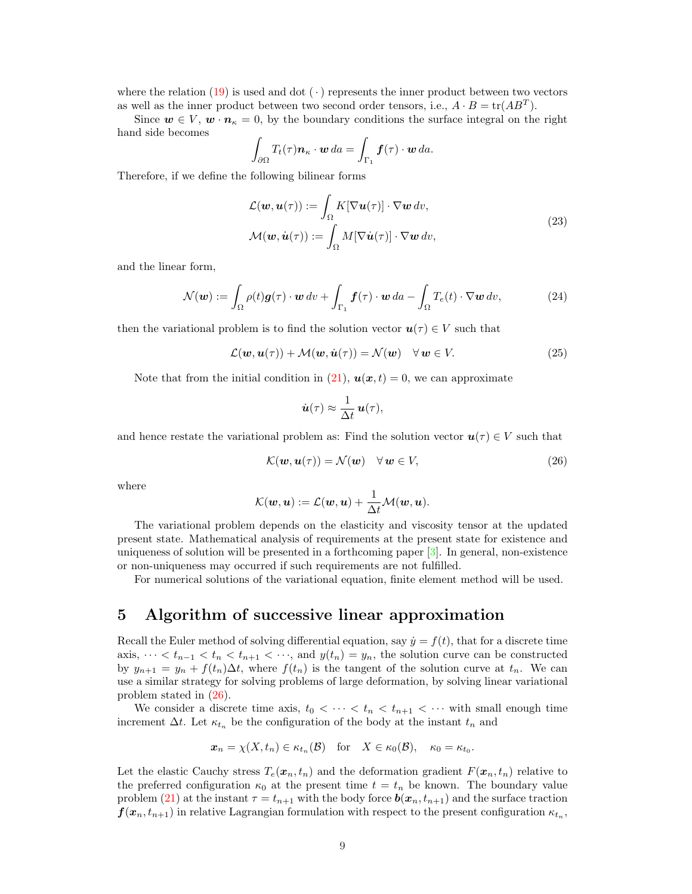where the relation (19) is used and dot  $(\cdot)$  represents the inner product between two vectors as well as the inner product between two second order tensors, i.e.,  $A \cdot B = \text{tr}(AB^T)$ .

Since  $w \in V$ ,  $w \cdot n_{\kappa} = 0$ , by the boundary conditions the surface integral on the right hand side becomes

$$
\int_{\partial\Omega} T_t(\tau) \boldsymbol{n}_\kappa \cdot \boldsymbol{w} \, da = \int_{\Gamma_1} \boldsymbol{f}(\tau) \cdot \boldsymbol{w} \, da.
$$

Therefore, if we define the following bilinear forms

$$
\mathcal{L}(\mathbf{w}, \mathbf{u}(\tau)) := \int_{\Omega} K[\nabla \mathbf{u}(\tau)] \cdot \nabla \mathbf{w} \, dv,
$$
  

$$
\mathcal{M}(\mathbf{w}, \dot{\mathbf{u}}(\tau)) := \int_{\Omega} M[\nabla \dot{\mathbf{u}}(\tau)] \cdot \nabla \mathbf{w} \, dv,
$$
 (23)

and the linear form,

$$
\mathcal{N}(\boldsymbol{w}) := \int_{\Omega} \rho(t) \boldsymbol{g}(\tau) \cdot \boldsymbol{w} \, dv + \int_{\Gamma_1} \boldsymbol{f}(\tau) \cdot \boldsymbol{w} \, da - \int_{\Omega} T_e(t) \cdot \nabla \boldsymbol{w} \, dv, \tag{24}
$$

then the variational problem is to find the solution vector  $u(\tau) \in V$  such that

$$
\mathcal{L}(\boldsymbol{w}, \boldsymbol{u}(\tau)) + \mathcal{M}(\boldsymbol{w}, \dot{\boldsymbol{u}}(\tau)) = \mathcal{N}(\boldsymbol{w}) \quad \forall \, \boldsymbol{w} \in V. \tag{25}
$$

Note that from the initial condition in (21),  $u(x,t) = 0$ , we can approximate

$$
\dot{\boldsymbol{u}}(\tau) \approx \frac{1}{\Delta t} \, \boldsymbol{u}(\tau),
$$

and hence restate the variational problem as: Find the solution vector  $u(\tau) \in V$  such that

$$
\mathcal{K}(\mathbf{w}, \mathbf{u}(\tau)) = \mathcal{N}(\mathbf{w}) \quad \forall \mathbf{w} \in V,
$$
\n(26)

where

$$
\mathcal{K}(\boldsymbol{w},\boldsymbol{u}) := \mathcal{L}(\boldsymbol{w},\boldsymbol{u}) + \frac{1}{\Delta t} \mathcal{M}(\boldsymbol{w},\boldsymbol{u}).
$$

The variational problem depends on the elasticity and viscosity tensor at the updated present state. Mathematical analysis of requirements at the present state for existence and uniqueness of solution will be presented in a forthcoming paper [3]. In general, non-existence or non-uniqueness may occurred if such requirements are not fulfilled.

For numerical solutions of the variational equation, finite element method will be used.

### 5 Algorithm of successive linear approximation

Recall the Euler method of solving differential equation, say  $\dot{y} = f(t)$ , that for a discrete time axis,  $\cdots < t_{n-1} < t_n < t_{n+1} < \cdots$ , and  $y(t_n) = y_n$ , the solution curve can be constructed by  $y_{n+1} = y_n + f(t_n) \Delta t$ , where  $f(t_n)$  is the tangent of the solution curve at  $t_n$ . We can use a similar strategy for solving problems of large deformation, by solving linear variational problem stated in (26).

We consider a discrete time axis,  $t_0 < \cdots < t_n < t_{n+1} < \cdots$  with small enough time increment  $\Delta t$ . Let  $\kappa_{t_n}$  be the configuration of the body at the instant  $t_n$  and

$$
\boldsymbol{x}_n = \chi(X, t_n) \in \kappa_{t_n}(\mathcal{B}) \quad \text{for} \quad X \in \kappa_0(\mathcal{B}), \quad \kappa_0 = \kappa_{t_0}.
$$

Let the elastic Cauchy stress  $T_e(x_n, t_n)$  and the deformation gradient  $F(x_n, t_n)$  relative to the preferred configuration  $\kappa_0$  at the present time  $t = t_n$  be known. The boundary value problem (21) at the instant  $\tau = t_{n+1}$  with the body force  $b(x_n, t_{n+1})$  and the surface traction  $\bm{f}(\bm{x}_n, t_{n+1})$  in relative Lagrangian formulation with respect to the present configuration  $\kappa_{t_n}$ ,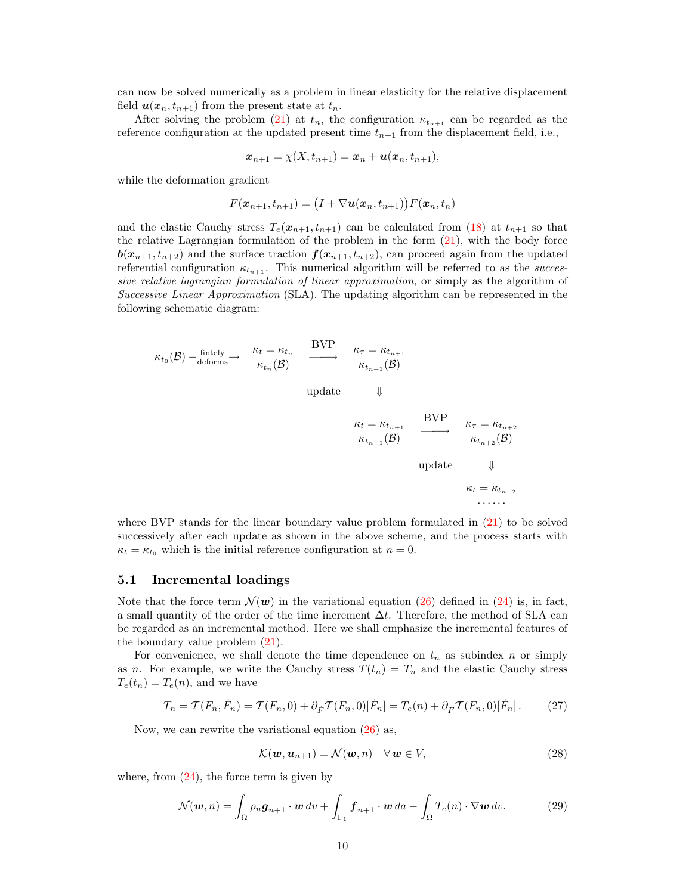can now be solved numerically as a problem in linear elasticity for the relative displacement field  $u(x_n, t_{n+1})$  from the present state at  $t_n$ .

After solving the problem (21) at  $t_n$ , the configuration  $\kappa_{t_{n+1}}$  can be regarded as the reference configuration at the updated present time  $t_{n+1}$  from the displacement field, i.e.,

$$
\boldsymbol{x}_{n+1}=\chi(X,t_{n+1})=\boldsymbol{x}_n+\boldsymbol{u}(\boldsymbol{x}_n,t_{n+1}),
$$

while the deformation gradient

$$
F(\boldsymbol{x}_{n+1}, t_{n+1}) = \big(I + \nabla \boldsymbol{u}(\boldsymbol{x}_n, t_{n+1})\big)F(\boldsymbol{x}_n, t_n)
$$

and the elastic Cauchy stress  $T_e(x_{n+1}, t_{n+1})$  can be calculated from (18) at  $t_{n+1}$  so that the relative Lagrangian formulation of the problem in the form (21), with the body force  $b(x_{n+1}, t_{n+2})$  and the surface traction  $f(x_{n+1}, t_{n+2})$ , can proceed again from the updated referential configuration  $\kappa_{t_{n+1}}$ . This numerical algorithm will be referred to as the successive relative lagrangian formulation of linear approximation, or simply as the algorithm of Successive Linear Approximation (SLA). The updating algorithm can be represented in the following schematic diagram:

$$
\kappa_{t_0}(\mathcal{B}) - \underset{\text{deforms}}{\text{fintely}} \rightarrow \begin{array}{c} \kappa_t = \kappa_{t_n} \\ \kappa_{t_n}(\mathcal{B}) \end{array} \xrightarrow{\text{BVP}} \begin{array}{c} \kappa_{\tau} = \kappa_{t_{n+1}} \\ \kappa_{t_{n+1}}(\mathcal{B}) \end{array}
$$

update  $\Downarrow$ 

$$
\kappa_t = \kappa_{t_{n+1}} \xrightarrow{\text{BVP}} \kappa_{\tau} = \kappa_{t_{n+2}} \n\kappa_{t_{n+1}}(\mathcal{B}) \xrightarrow{\kappa_{t_{n+2}}(\mathcal{B})} \kappa_{t_{n+2}}(\mathcal{B})
$$
\nupdate

\n
$$
\kappa_t = \kappa_{t_{n+2}} \dots
$$

where BVP stands for the linear boundary value problem formulated in  $(21)$  to be solved successively after each update as shown in the above scheme, and the process starts with  $\kappa_t = \kappa_{t_0}$  which is the initial reference configuration at  $n = 0$ .

### 5.1 Incremental loadings

Note that the force term  $\mathcal{N}(w)$  in the variational equation (26) defined in (24) is, in fact, a small quantity of the order of the time increment  $\Delta t$ . Therefore, the method of SLA can be regarded as an incremental method. Here we shall emphasize the incremental features of the boundary value problem  $(21)$ .

For convenience, we shall denote the time dependence on  $t_n$  as subindex n or simply as n. For example, we write the Cauchy stress  $T(t_n) = T_n$  and the elastic Cauchy stress  $T_e(t_n) = T_e(n)$ , and we have

$$
T_n = \mathcal{T}(F_n, \dot{F}_n) = \mathcal{T}(F_n, 0) + \partial_{\dot{F}} \mathcal{T}(F_n, 0)[\dot{F}_n] = T_e(n) + \partial_{\dot{F}} \mathcal{T}(F_n, 0)[\dot{F}_n].
$$
 (27)

Now, we can rewrite the variational equation (26) as,

$$
\mathcal{K}(\boldsymbol{w}, \boldsymbol{u}_{n+1}) = \mathcal{N}(\boldsymbol{w}, n) \quad \forall \, \boldsymbol{w} \in V,
$$
\n(28)

where, from  $(24)$ , the force term is given by

$$
\mathcal{N}(\boldsymbol{w}, n) = \int_{\Omega} \rho_n \boldsymbol{g}_{n+1} \cdot \boldsymbol{w} \, dv + \int_{\Gamma_1} \boldsymbol{f}_{n+1} \cdot \boldsymbol{w} \, da - \int_{\Omega} T_e(n) \cdot \nabla \boldsymbol{w} \, dv. \tag{29}
$$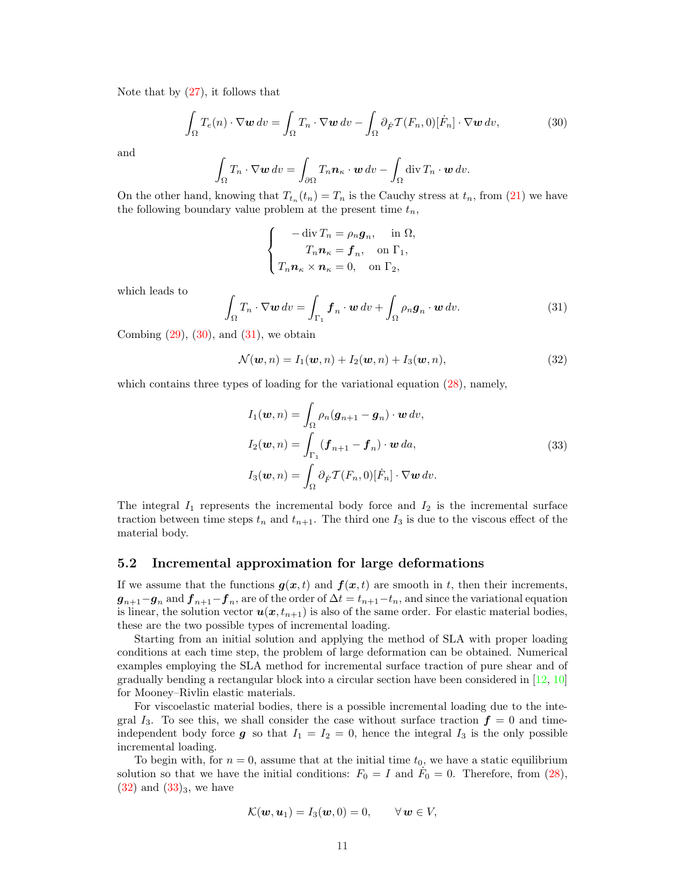Note that by  $(27)$ , it follows that

$$
\int_{\Omega} T_e(n) \cdot \nabla \mathbf{w} \, dv = \int_{\Omega} T_n \cdot \nabla \mathbf{w} \, dv - \int_{\Omega} \partial_{\dot{F}} \mathcal{T}(F_n, 0) [\dot{F}_n] \cdot \nabla \mathbf{w} \, dv,\tag{30}
$$

and

$$
\int_{\Omega} T_n \cdot \nabla \mathbf{w} \, dv = \int_{\partial \Omega} T_n \mathbf{n}_{\kappa} \cdot \mathbf{w} \, dv - \int_{\Omega} \operatorname{div} T_n \cdot \mathbf{w} \, dv.
$$

On the other hand, knowing that  $T_{t_n}(t_n) = T_n$  is the Cauchy stress at  $t_n$ , from (21) we have the following boundary value problem at the present time  $t_n$ ,

$$
\begin{cases}\n-\operatorname{div} T_n = \rho_n \mathbf{g}_n, & \text{in } \Omega, \\
T_n \mathbf{n}_\kappa = \mathbf{f}_n, & \text{on } \Gamma_1, \\
T_n \mathbf{n}_\kappa \times \mathbf{n}_\kappa = 0, & \text{on } \Gamma_2,\n\end{cases}
$$

which leads to

$$
\int_{\Omega} T_n \cdot \nabla \mathbf{w} \, dv = \int_{\Gamma_1} \mathbf{f}_n \cdot \mathbf{w} \, dv + \int_{\Omega} \rho_n \mathbf{g}_n \cdot \mathbf{w} \, dv. \tag{31}
$$

Combing  $(29)$ ,  $(30)$ , and  $(31)$ , we obtain

$$
\mathcal{N}(\boldsymbol{w},n) = I_1(\boldsymbol{w},n) + I_2(\boldsymbol{w},n) + I_3(\boldsymbol{w},n),
$$
\n(32)

which contains three types of loading for the variational equation  $(28)$ , namely,

$$
I_1(\boldsymbol{w}, n) = \int_{\Omega} \rho_n (\boldsymbol{g}_{n+1} - \boldsymbol{g}_n) \cdot \boldsymbol{w} \, dv,
$$
  
\n
$$
I_2(\boldsymbol{w}, n) = \int_{\Gamma_1} (\boldsymbol{f}_{n+1} - \boldsymbol{f}_n) \cdot \boldsymbol{w} \, da,
$$
  
\n
$$
I_3(\boldsymbol{w}, n) = \int_{\Omega} \partial_{\dot{F}} \mathcal{T}(F_n, 0) [\dot{F}_n] \cdot \nabla \boldsymbol{w} \, dv.
$$
\n(33)

The integral  $I_1$  represents the incremental body force and  $I_2$  is the incremental surface traction between time steps  $t_n$  and  $t_{n+1}$ . The third one  $I_3$  is due to the viscous effect of the material body.

#### 5.2 Incremental approximation for large deformations

If we assume that the functions  $g(x, t)$  and  $f(x, t)$  are smooth in t, then their increments,  $g_{n+1}-g_n$  and  $f_{n+1}-f_n$ , are of the order of  $\Delta t = t_{n+1}-t_n$ , and since the variational equation is linear, the solution vector  $u(x, t_{n+1})$  is also of the same order. For elastic material bodies, these are the two possible types of incremental loading.

Starting from an initial solution and applying the method of SLA with proper loading conditions at each time step, the problem of large deformation can be obtained. Numerical examples employing the SLA method for incremental surface traction of pure shear and of gradually bending a rectangular block into a circular section have been considered in [12, 10] for Mooney–Rivlin elastic materials.

For viscoelastic material bodies, there is a possible incremental loading due to the integral  $I_3$ . To see this, we shall consider the case without surface traction  $f = 0$  and timeindependent body force g so that  $I_1 = I_2 = 0$ , hence the integral  $I_3$  is the only possible incremental loading.

To begin with, for  $n = 0$ , assume that at the initial time  $t_0$ , we have a static equilibrium solution so that we have the initial conditions:  $F_0 = I$  and  $F_0 = 0$ . Therefore, from (28),  $(32)$  and  $(33)_3$ , we have

$$
\mathcal{K}(\boldsymbol{w},\boldsymbol{u}_1)=I_3(\boldsymbol{w},0)=0,\qquad\forall\,\boldsymbol{w}\in V,
$$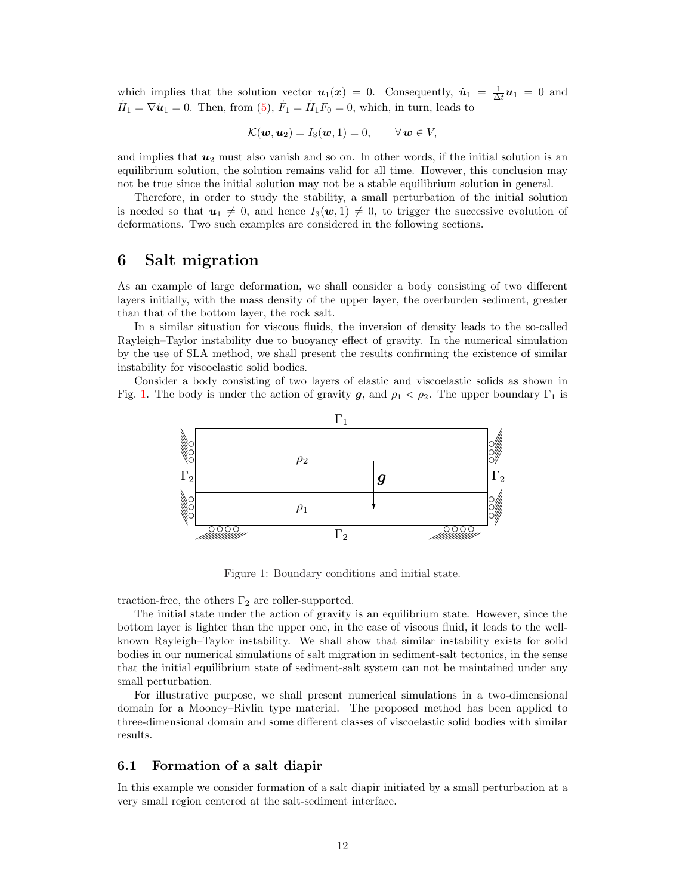which implies that the solution vector  $u_1(x) = 0$ . Consequently,  $\dot{u}_1 = \frac{1}{\Delta t} u_1 = 0$  and  $\dot{H}_1 = \nabla \dot{u}_1 = 0$ . Then, from (5),  $\dot{F}_1 = \dot{H}_1 F_0 = 0$ , which, in turn, leads to

$$
\mathcal{K}(\boldsymbol{w},\boldsymbol{u}_2)=I_3(\boldsymbol{w},1)=0,\qquad\forall\,\boldsymbol{w}\in V,
$$

and implies that  $u_2$  must also vanish and so on. In other words, if the initial solution is an equilibrium solution, the solution remains valid for all time. However, this conclusion may not be true since the initial solution may not be a stable equilibrium solution in general.

Therefore, in order to study the stability, a small perturbation of the initial solution is needed so that  $u_1 \neq 0$ , and hence  $I_3(w, 1) \neq 0$ , to trigger the successive evolution of deformations. Two such examples are considered in the following sections.

# 6 Salt migration

As an example of large deformation, we shall consider a body consisting of two different layers initially, with the mass density of the upper layer, the overburden sediment, greater than that of the bottom layer, the rock salt.

In a similar situation for viscous fluids, the inversion of density leads to the so-called Rayleigh–Taylor instability due to buoyancy effect of gravity. In the numerical simulation by the use of SLA method, we shall present the results confirming the existence of similar instability for viscoelastic solid bodies.

Consider a body consisting of two layers of elastic and viscoelastic solids as shown in Fig. 1. The body is under the action of gravity  $g$ , and  $\rho_1 < \rho_2$ . The upper boundary  $\Gamma_1$  is



Figure 1: Boundary conditions and initial state.

traction-free, the others  $\Gamma_2$  are roller-supported.

The initial state under the action of gravity is an equilibrium state. However, since the bottom layer is lighter than the upper one, in the case of viscous fluid, it leads to the wellknown Rayleigh–Taylor instability. We shall show that similar instability exists for solid bodies in our numerical simulations of salt migration in sediment-salt tectonics, in the sense that the initial equilibrium state of sediment-salt system can not be maintained under any small perturbation.

For illustrative purpose, we shall present numerical simulations in a two-dimensional domain for a Mooney–Rivlin type material. The proposed method has been applied to three-dimensional domain and some different classes of viscoelastic solid bodies with similar results.

### 6.1 Formation of a salt diapir

In this example we consider formation of a salt diapir initiated by a small perturbation at a very small region centered at the salt-sediment interface.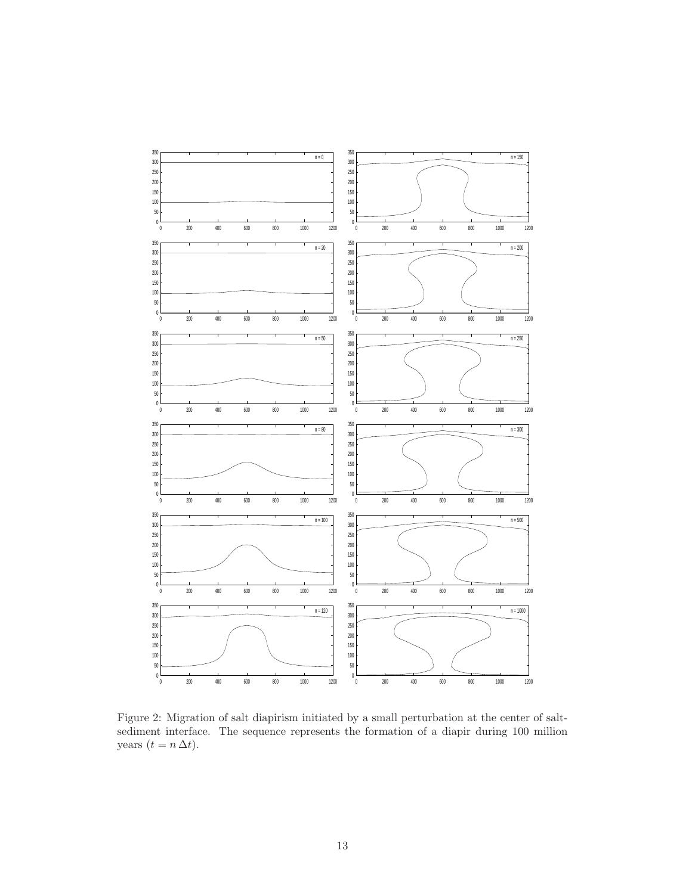

Figure 2: Migration of salt diapirism initiated by a small perturbation at the center of saltsediment interface. The sequence represents the formation of a diapir during 100 million years  $(t = n \Delta t)$ .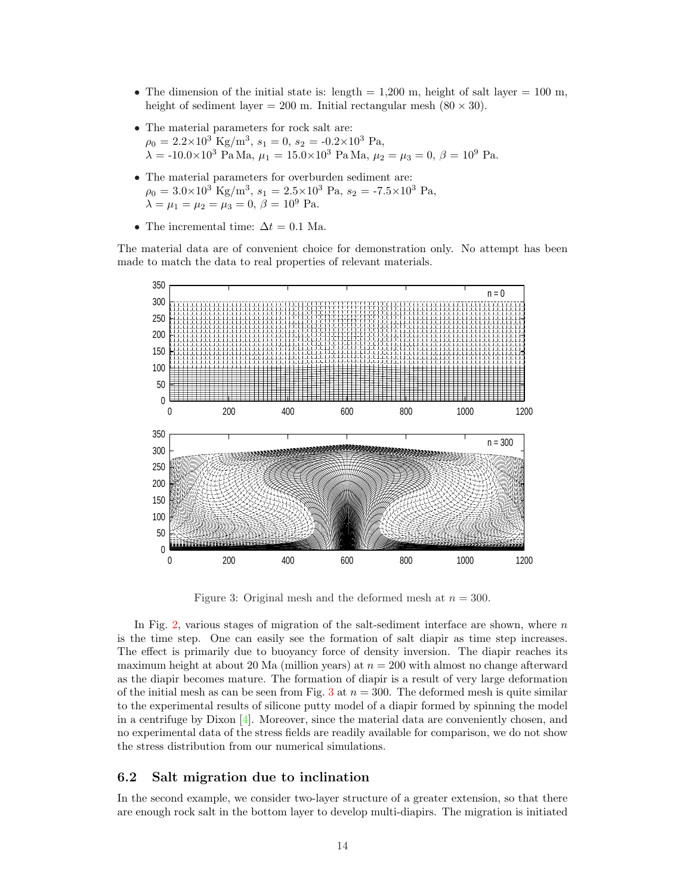- The dimension of the initial state is: length  $= 1.200$  m, height of salt layer  $= 100$  m, height of sediment layer = 200 m. Initial rectangular mesh  $(80 \times 30)$ .
- The material parameters for rock salt are:  $\rho_0 = 2.2 \times 10^3 \text{ Kg/m}^3, s_1 = 0, s_2 = -0.2 \times 10^3 \text{ Pa},$  $\lambda = -10.0 \times 10^3$  Pa Ma,  $\mu_1 = 15.0 \times 10^3$  Pa Ma,  $\mu_2 = \mu_3 = 0$ ,  $\beta = 10^9$  Pa.
- The material parameters for overburden sediment are:  $\rho_0 = 3.0 \times 10^3 \text{ Kg/m}^3, s_1 = 2.5 \times 10^3 \text{ Pa}, s_2 = -7.5 \times 10^3 \text{ Pa},$  $\lambda = \mu_1 = \mu_2 = \mu_3 = 0, \, \beta = 10^9$  Pa.
- The incremental time:  $\Delta t = 0.1$  Ma.

The material data are of convenient choice for demonstration only. No attempt has been made to match the data to real properties of relevant materials.



Figure 3: Original mesh and the deformed mesh at  $n = 300$ .

In Fig. 2, various stages of migration of the salt-sediment interface are shown, where  $n$ is the time step. One can easily see the formation of salt diapir as time step increases. The effect is primarily due to buoyancy force of density inversion. The diapir reaches its maximum height at about 20 Ma (million years) at  $n = 200$  with almost no change afterward as the diapir becomes mature. The formation of diapir is a result of very large deformation of the initial mesh as can be seen from Fig. 3 at  $n = 300$ . The deformed mesh is quite similar to the experimental results of silicone putty model of a diapir formed by spinning the model in a centrifuge by Dixon [4]. Moreover, since the material data are conveniently chosen, and no experimental data of the stress fields are readily available for comparison, we do not show the stress distribution from our numerical simulations.

### 6.2 Salt migration due to inclination

In the second example, we consider two-layer structure of a greater extension, so that there are enough rock salt in the bottom layer to develop multi-diapirs. The migration is initiated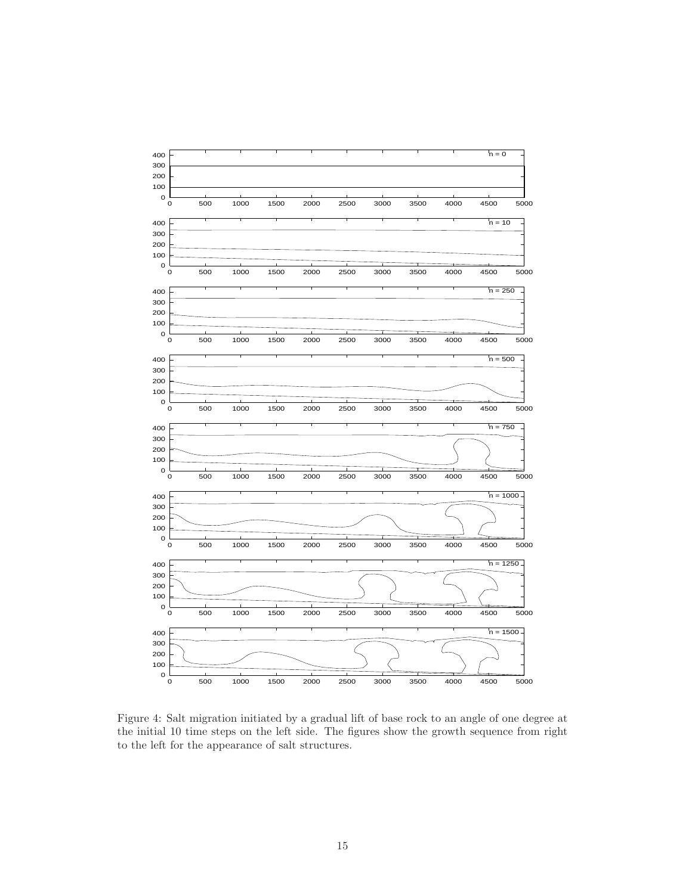

Figure 4: Salt migration initiated by a gradual lift of base rock to an angle of one degree at the initial 10 time steps on the left side. The figures show the growth sequence from right to the left for the appearance of salt structures.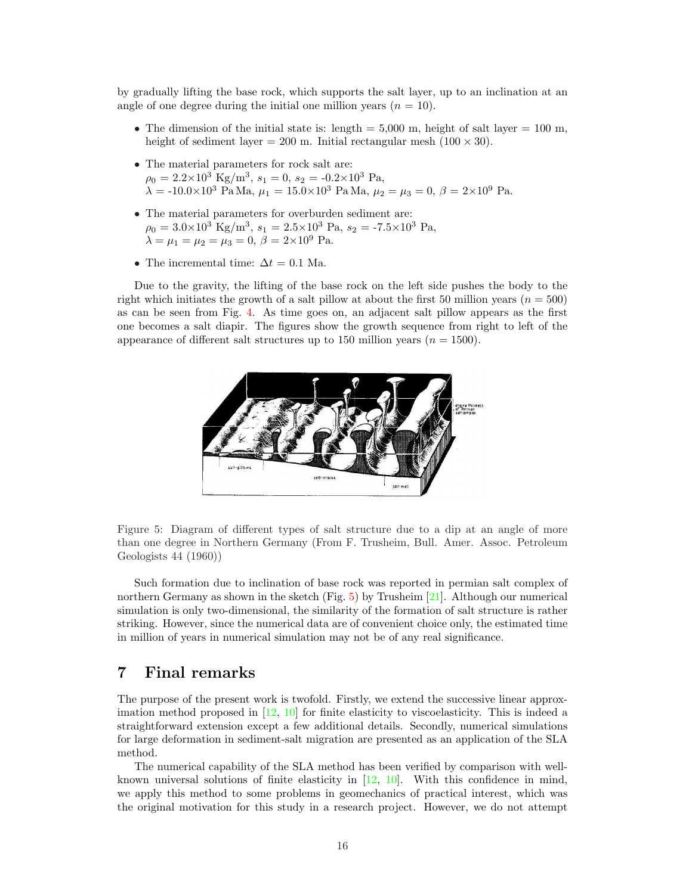by gradually lifting the base rock, which supports the salt layer, up to an inclination at an angle of one degree during the initial one million years  $(n = 10)$ .

- The dimension of the initial state is: length  $= 5,000$  m, height of salt layer  $= 100$  m, height of sediment layer = 200 m. Initial rectangular mesh  $(100 \times 30)$ .
- The material parameters for rock salt are:  $\rho_0 = 2.2 \times 10^3 \text{ Kg/m}^3, s_1 = 0, s_2 = -0.2 \times 10^3 \text{ Pa},$  $\lambda = -10.0 \times 10^3$  Pa Ma,  $\mu_1 = 15.0 \times 10^3$  Pa Ma,  $\mu_2 = \mu_3 = 0$ ,  $\beta = 2 \times 10^9$  Pa.
- $\bullet~$  The material parameters for overburden sediment are:  $\rho_0 = 3.0 \times 10^3 \text{ Kg/m}^3, s_1 = 2.5 \times 10^3 \text{ Pa}, s_2 = -7.5 \times 10^3 \text{ Pa},$  $\lambda = \mu_1 = \mu_2 = \mu_3 = 0, \, \beta = 2 \times 10^9$  Pa.
- The incremental time:  $\Delta t = 0.1$  Ma.

Due to the gravity, the lifting of the base rock on the left side pushes the body to the right which initiates the growth of a salt pillow at about the first 50 million years ( $n = 500$ ) as can be seen from Fig. 4. As time goes on, an adjacent salt pillow appears as the first one becomes a salt diapir. The figures show the growth sequence from right to left of the appearance of different salt structures up to 150 million years  $(n = 1500)$ .



Figure 5: Diagram of different types of salt structure due to a dip at an angle of more than one degree in Northern Germany (From F. Trusheim, Bull. Amer. Assoc. Petroleum Geologists 44 (1960))

Such formation due to inclination of base rock was reported in permian salt complex of northern Germany as shown in the sketch (Fig.  $5$ ) by Trusheim [21]. Although our numerical simulation is only two-dimensional, the similarity of the formation of salt structure is rather striking. However, since the numerical data are of convenient choice only, the estimated time in million of years in numerical simulation may not be of any real significance.

# 7 Final remarks

The purpose of the present work is twofold. Firstly, we extend the successive linear approximation method proposed in  $[12, 10]$  for finite elasticity to viscoelasticity. This is indeed a straightforward extension except a few additional details. Secondly, numerical simulations for large deformation in sediment-salt migration are presented as an application of the SLA method.

The numerical capability of the SLA method has been verified by comparison with wellknown universal solutions of finite elasticity in [12, 10]. With this confidence in mind, we apply this method to some problems in geomechanics of practical interest, which was the original motivation for this study in a research project. However, we do not attempt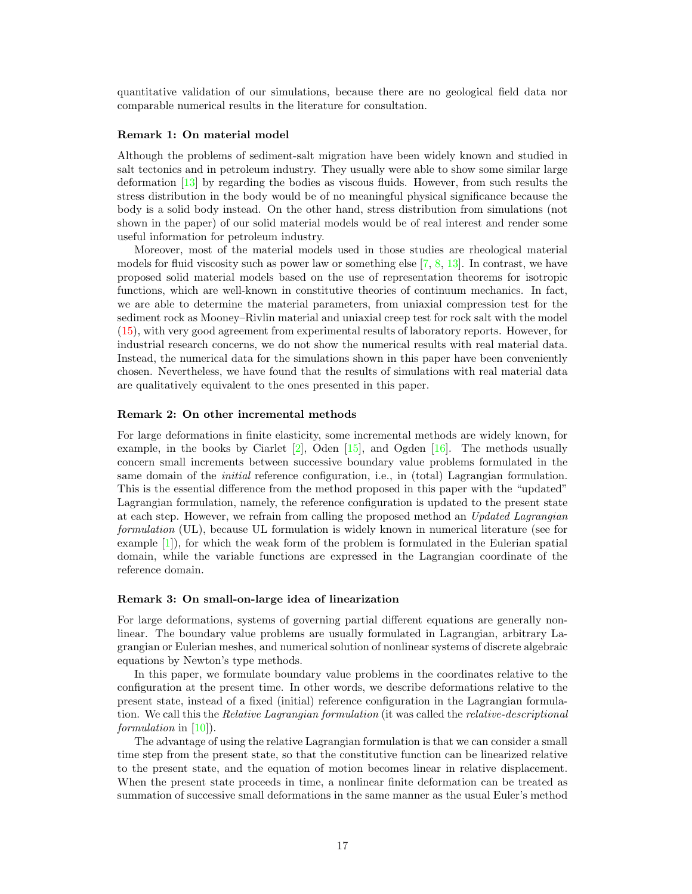quantitative validation of our simulations, because there are no geological field data nor comparable numerical results in the literature for consultation.

#### Remark 1: On material model

Although the problems of sediment-salt migration have been widely known and studied in salt tectonics and in petroleum industry. They usually were able to show some similar large deformation [13] by regarding the bodies as viscous fluids. However, from such results the stress distribution in the body would be of no meaningful physical significance because the body is a solid body instead. On the other hand, stress distribution from simulations (not shown in the paper) of our solid material models would be of real interest and render some useful information for petroleum industry.

Moreover, most of the material models used in those studies are rheological material models for fluid viscosity such as power law or something else [7, 8, 13]. In contrast, we have proposed solid material models based on the use of representation theorems for isotropic functions, which are well-known in constitutive theories of continuum mechanics. In fact, we are able to determine the material parameters, from uniaxial compression test for the sediment rock as Mooney–Rivlin material and uniaxial creep test for rock salt with the model (15), with very good agreement from experimental results of laboratory reports. However, for industrial research concerns, we do not show the numerical results with real material data. Instead, the numerical data for the simulations shown in this paper have been conveniently chosen. Nevertheless, we have found that the results of simulations with real material data are qualitatively equivalent to the ones presented in this paper.

#### Remark 2: On other incremental methods

For large deformations in finite elasticity, some incremental methods are widely known, for example, in the books by Ciarlet  $[2]$ , Oden  $[15]$ , and Ogden  $[16]$ . The methods usually concern small increments between successive boundary value problems formulated in the same domain of the *initial* reference configuration, i.e., in (total) Lagrangian formulation. This is the essential difference from the method proposed in this paper with the "updated" Lagrangian formulation, namely, the reference configuration is updated to the present state at each step. However, we refrain from calling the proposed method an Updated Lagrangian formulation (UL), because UL formulation is widely known in numerical literature (see for example [1]), for which the weak form of the problem is formulated in the Eulerian spatial domain, while the variable functions are expressed in the Lagrangian coordinate of the reference domain.

#### Remark 3: On small-on-large idea of linearization

For large deformations, systems of governing partial different equations are generally nonlinear. The boundary value problems are usually formulated in Lagrangian, arbitrary Lagrangian or Eulerian meshes, and numerical solution of nonlinear systems of discrete algebraic equations by Newton's type methods.

In this paper, we formulate boundary value problems in the coordinates relative to the configuration at the present time. In other words, we describe deformations relative to the present state, instead of a fixed (initial) reference configuration in the Lagrangian formulation. We call this the *Relative Lagrangian formulation* (it was called the *relative-descriptional* formulation in [10]).

The advantage of using the relative Lagrangian formulation is that we can consider a small time step from the present state, so that the constitutive function can be linearized relative to the present state, and the equation of motion becomes linear in relative displacement. When the present state proceeds in time, a nonlinear finite deformation can be treated as summation of successive small deformations in the same manner as the usual Euler's method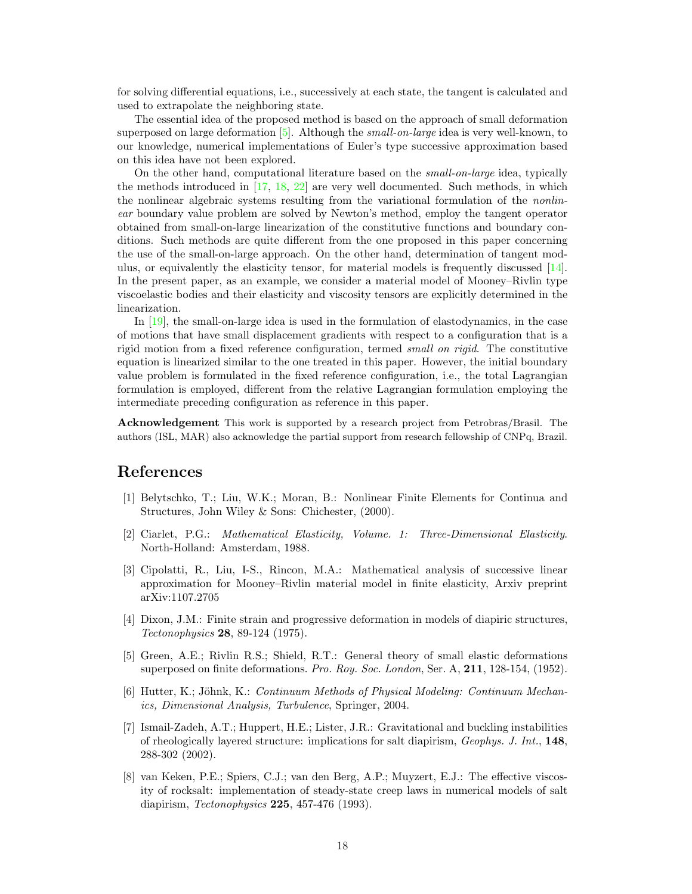for solving differential equations, i.e., successively at each state, the tangent is calculated and used to extrapolate the neighboring state.

The essential idea of the proposed method is based on the approach of small deformation superposed on large deformation  $[5]$ . Although the *small-on-large* idea is very well-known, to our knowledge, numerical implementations of Euler's type successive approximation based on this idea have not been explored.

On the other hand, computational literature based on the small-on-large idea, typically the methods introduced in  $[17, 18, 22]$  are very well documented. Such methods, in which the nonlinear algebraic systems resulting from the variational formulation of the *nonlin*ear boundary value problem are solved by Newton's method, employ the tangent operator obtained from small-on-large linearization of the constitutive functions and boundary conditions. Such methods are quite different from the one proposed in this paper concerning the use of the small-on-large approach. On the other hand, determination of tangent modulus, or equivalently the elasticity tensor, for material models is frequently discussed [14]. In the present paper, as an example, we consider a material model of Mooney–Rivlin type viscoelastic bodies and their elasticity and viscosity tensors are explicitly determined in the linearization.

In [19], the small-on-large idea is used in the formulation of elastodynamics, in the case of motions that have small displacement gradients with respect to a configuration that is a rigid motion from a fixed reference configuration, termed *small on rigid*. The constitutive equation is linearized similar to the one treated in this paper. However, the initial boundary value problem is formulated in the fixed reference configuration, i.e., the total Lagrangian formulation is employed, different from the relative Lagrangian formulation employing the intermediate preceding configuration as reference in this paper.

Acknowledgement This work is supported by a research project from Petrobras/Brasil. The authors (ISL, MAR) also acknowledge the partial support from research fellowship of CNPq, Brazil.

# References

- [1] Belytschko, T.; Liu, W.K.; Moran, B.: Nonlinear Finite Elements for Continua and Structures, John Wiley & Sons: Chichester, (2000).
- [2] Ciarlet, P.G.: Mathematical Elasticity, Volume. 1: Three-Dimensional Elasticity. North-Holland: Amsterdam, 1988.
- [3] Cipolatti, R., Liu, I-S., Rincon, M.A.: Mathematical analysis of successive linear approximation for Mooney–Rivlin material model in finite elasticity, Arxiv preprint arXiv:1107.2705
- [4] Dixon, J.M.: Finite strain and progressive deformation in models of diapiric structures, Tectonophysics 28, 89-124 (1975).
- [5] Green, A.E.; Rivlin R.S.; Shield, R.T.: General theory of small elastic deformations superposed on finite deformations. Pro. Roy. Soc. London, Ser. A, 211, 128-154, (1952).
- [6] Hutter, K.; Jöhnk, K.: Continuum Methods of Physical Modeling: Continuum Mechanics, Dimensional Analysis, Turbulence, Springer, 2004.
- [7] Ismail-Zadeh, A.T.; Huppert, H.E.; Lister, J.R.: Gravitational and buckling instabilities of rheologically layered structure: implications for salt diapirism,  $Geophys.$  J. Int., **148**, 288-302 (2002).
- [8] van Keken, P.E.; Spiers, C.J.; van den Berg, A.P.; Muyzert, E.J.: The effective viscosity of rocksalt: implementation of steady-state creep laws in numerical models of salt diapirism, *Tectonophysics* **225**, 457-476 (1993).